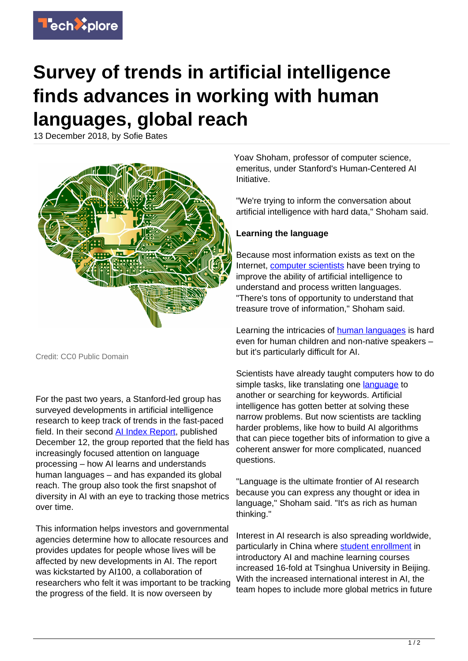

## **Survey of trends in artificial intelligence finds advances in working with human languages, global reach**

13 December 2018, by Sofie Bates



Credit: CC0 Public Domain

For the past two years, a Stanford-led group has surveyed developments in artificial intelligence research to keep track of trends in the fast-paced field. In their second [AI Index Report](http://cdn.aiindex.org/2018/AI%20Index%202018%20Annual%20Report.pdf), published December 12, the group reported that the field has increasingly focused attention on language processing – how AI learns and understands human languages – and has expanded its global reach. The group also took the first snapshot of diversity in AI with an eye to tracking those metrics over time.

This information helps investors and governmental agencies determine how to allocate resources and provides updates for people whose lives will be affected by new developments in AI. The report was kickstarted by AI100, a collaboration of researchers who felt it was important to be tracking the progress of the field. It is now overseen by

Yoav Shoham, professor of computer science, emeritus, under Stanford's Human-Centered AI Initiative.

"We're trying to inform the conversation about artificial intelligence with hard data," Shoham said.

## **Learning the language**

Because most information exists as text on the Internet, [computer scientists](https://techxplore.com/tags/computer+scientists/) have been trying to improve the ability of artificial intelligence to understand and process written languages. "There's tons of opportunity to understand that treasure trove of information," Shoham said.

Learning the intricacies of **[human languages](https://techxplore.com/tags/human+languages/)** is hard even for human children and non-native speakers – but it's particularly difficult for AI.

Scientists have already taught computers how to do simple tasks, like translating one [language](https://techxplore.com/tags/language/) to another or searching for keywords. Artificial intelligence has gotten better at solving these narrow problems. But now scientists are tackling harder problems, like how to build AI algorithms that can piece together bits of information to give a coherent answer for more complicated, nuanced questions.

"Language is the ultimate frontier of AI research because you can express any thought or idea in language," Shoham said. "It's as rich as human thinking."

Interest in AI research is also spreading worldwide, particularly in China where [student enrollment](https://techxplore.com/tags/student+enrollment/) in introductory AI and machine learning courses increased 16-fold at Tsinghua University in Beijing. With the increased international interest in AI, the team hopes to include more global metrics in future